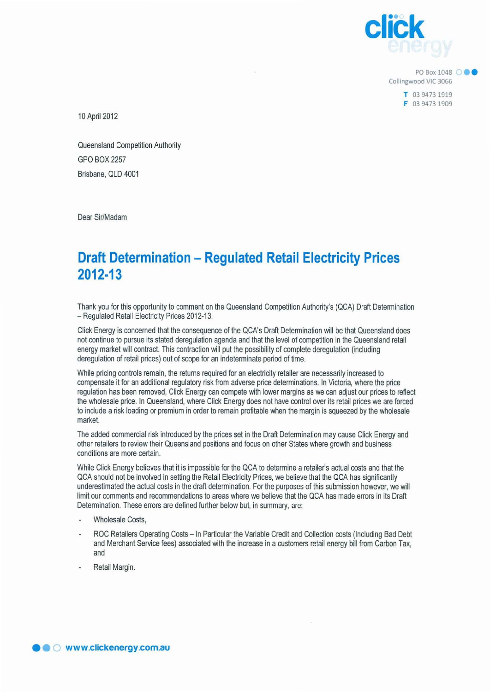

**PO Box 1048 000** Collingwood VIC 3066

> T 039473 1919 F 03 9473 1909

10 April 2012

Queensland Competition Authority GPO BOX 2257 Brisbane, QLD 4001

Dear Sir/Madam

## **Draft Determination - Regulated Retail Electricity Prices 2012·13**

Thank you for this opportunity to comment on the Queensland Competition Authority's (QCA) Draft Determination - Regulated Retail Electricity Prices 2012-13.

Click Energy is concerned that the consequence of the QCA's Draft Determination will be that Queensland does not continue to pursue its stated deregulation agenda and that the level of competition in the Queensland retail energy market will contract. This contraction will put the possibility of complete deregulation (induding deregulation of retail prices) out of scope for an indeterminate period of time.

While pricing controls remain, the returns required for an electricity retailer are necessarily increased to compensate it for an additional regulatory risk from adverse price determinations. In Victoria, where the price regulation has been removed, Click Energy can compete with lower margins as we can adjust our prices to reflect the wholesale price. In Queensland, where Click Energy does not have control over its retail prices we are forced to indude a risk loading or premium in order to remain profitable when the margin is squeezed by the wholesale market.

The added commercial risk introduced by the prices set in the Draft Determination may cause Click Energy and other retailers to review their Queensland positions and focus on other States where growth and business conditions are more certain.

While Click Energy believes that it is impossible for the QCA to determine a retailer's actual costs and that the QCA should not be involved in setting the Retail Electricity Prices, we believe that the QCA has significantly underestimated the actual costs in the draft determination. For the purposes of this submission however, we will limit our comments and recommendations to areas where we believe that the QCA has made errors in its Draft Determination. These errors are defined further below but, in summary, are:

- Wholesale Costs,
- ROC Retailers Operating Costs In Particular the Variable Credit and Collection costs (Including Bad Debt and Merchant Service fees) associated with the increase in a customers retail energy bill from Carbon Tax, and
- Retail Margin.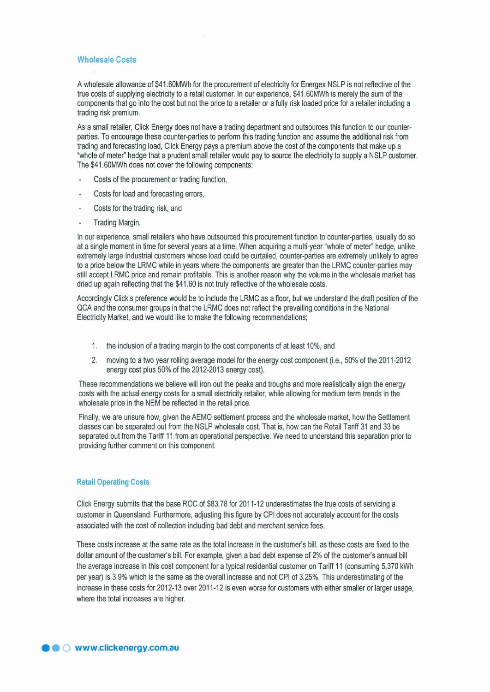## Wholesale Costs

A wholesale allowance of \$41.60MWh for the procurement of electricity for Energex NSLP is not reflective of the true costs of supplying electricity to a retail customer. In our experience, \$41.60MWh is merely the sum of the components that go into the cost but not the price to a retailer or a fully risk loaded price for a retailer including a trading risk premium.

As a small retailer, Click Energy does not have a trading department and outsources this function to our counterparties. To encourage these counter-parties to perform this trading function and assume the additional risk from trading and forecasting load, Click Energy pays a premium above the cost of the components that make up a "whole of meter" hedge that a prudent small retailer would pay to source the electricity to supply a NSLP customer. The \$41.60MWh does not cover the following components:

- Costs of the procurement or trading function,
- Costs for load and forecasting errors,
- Costs for the trading risk, and
- Trading Margin.

In our experience, small retailers who have outsourced this procurement function to counter-parties, usually do so at a single moment in time for several years at a time. When acquiring a multi-year "whole of meter" hedge, unlike extremely large Industrial customers whose load could be curtailed, counter-parties are extremely unlikely to agree to a price below the LRMC while in years where the components are greater than the LRMC counter-parties may still accept LRMC price and remain profitable. This is another reason why the volume in the wholesale market has dried up again reflecting that the \$41.60 is not truly reflective of the wholesale costs.

Accordingly Click's preference would be to include the LRMC as a floor, but we understand the draft position of the QCA and the consumer groups in that the LRMC does not reflect the prevailing conditions in the National Electricity Market, and we would like to make the following recommendations;

- 1. the inclusion of a trading margin to the cost components of at least 10%, and
- 2. moving to a two year rolling average model for the energy cost component (i.e., 50% of the 2011-2012 energy cost plus 50% of the 2012-2013 energy cost).

These recommendations we believe will iron out the peaks and troughs and more realistically align the energy costs with the actual energy costs for a small electricity retailer, while allowing for medium term trends in the wholesale price in the NEM be reflected in the retail price.

Finally, we are unsure how, given the AEMO settlement process and the wholesale market, how the Settlement classes can be separated out from the NSLP wholesale cost. That is, how can the Retail Tanff 31 and 33 be separated out from the Tariff 11 from an operational perspective. We need to understand this separation prior to providing further comment on this component.

## Retail Operating Costs

Click Energy submits that the base ROC of \$83.78 for 2011-12 underestimates the true costs of servicing a customer in Queensland. Furthermore, adjusting this figure by CPI does not accurately account for the costs associated with the cost of collection induding bad debt and merchant service fees.

These costs increase at the same rate as the total increase in the customer's bill, as these costs are fixed to the dollar amount of the customer's bill. For example, given a bad debt expense of 2% of the customer's annual bill the average increase in this cost component for a typical residential customer on Tariff 11 (consuming 5,370 kWh per year) is 3.9% which is the same as the overall increase and not CPI of 3.25%. This underestimating of the increase in these costs for 2012-13 over 2011-12 is even worse for customers with either smaller or larger usage, where the total increases are higher.